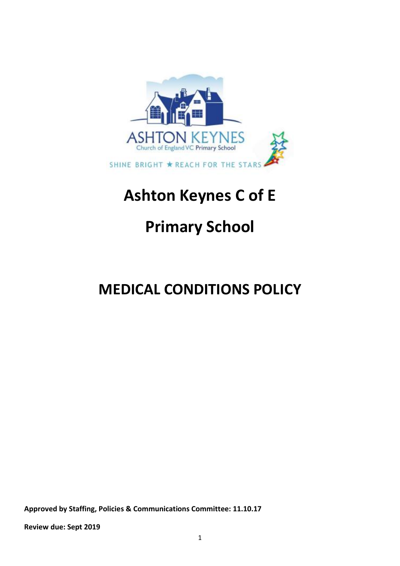

# **Ashton Keynes C of E**

# **Primary School**

# **MEDICAL CONDITIONS POLICY**

**Approved by Staffing, Policies & Communications Committee: 11.10.17**

**Review due: Sept 2019**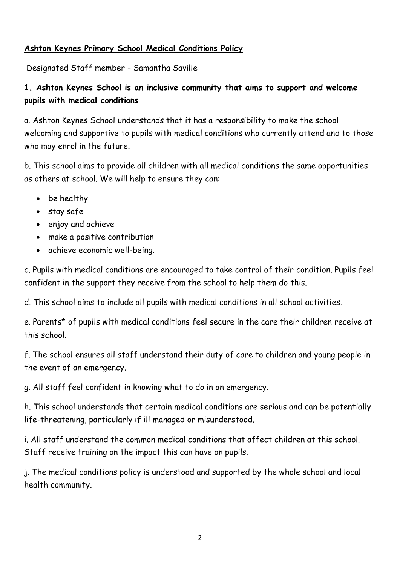#### **Ashton Keynes Primary School Medical Conditions Policy**

Designated Staff member – Samantha Saville

## **1. Ashton Keynes School is an inclusive community that aims to support and welcome pupils with medical conditions**

a. Ashton Keynes School understands that it has a responsibility to make the school welcoming and supportive to pupils with medical conditions who currently attend and to those who may enrol in the future.

b. This school aims to provide all children with all medical conditions the same opportunities as others at school. We will help to ensure they can:

- be healthy
- stay safe
- enjoy and achieve
- make a positive contribution
- achieve economic well-being.

c. Pupils with medical conditions are encouraged to take control of their condition. Pupils feel confident in the support they receive from the school to help them do this.

d. This school aims to include all pupils with medical conditions in all school activities.

e. Parents\* of pupils with medical conditions feel secure in the care their children receive at this school.

f. The school ensures all staff understand their duty of care to children and young people in the event of an emergency.

g. All staff feel confident in knowing what to do in an emergency.

h. This school understands that certain medical conditions are serious and can be potentially life-threatening, particularly if ill managed or misunderstood.

i. All staff understand the common medical conditions that affect children at this school. Staff receive training on the impact this can have on pupils.

j. The medical conditions policy is understood and supported by the whole school and local health community.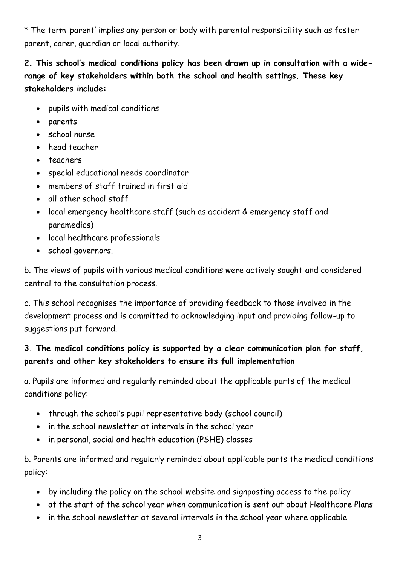\* The term 'parent' implies any person or body with parental responsibility such as foster parent, carer, guardian or local authority.

**2. This school's medical conditions policy has been drawn up in consultation with a widerange of key stakeholders within both the school and health settings. These key stakeholders include:** 

- pupils with medical conditions
- parents
- school nurse
- head teacher
- teachers
- special educational needs coordinator
- members of staff trained in first aid
- all other school staff
- local emergency healthcare staff (such as accident & emergency staff and paramedics)
- local healthcare professionals
- school governors.

b. The views of pupils with various medical conditions were actively sought and considered central to the consultation process.

c. This school recognises the importance of providing feedback to those involved in the development process and is committed to acknowledging input and providing follow-up to suggestions put forward.

# **3. The medical conditions policy is supported by a clear communication plan for staff, parents and other key stakeholders to ensure its full implementation**

a. Pupils are informed and regularly reminded about the applicable parts of the medical conditions policy:

- through the school's pupil representative body (school council)
- in the school newsletter at intervals in the school year
- in personal, social and health education (PSHE) classes

b. Parents are informed and regularly reminded about applicable parts the medical conditions policy:

- by including the policy on the school website and signposting access to the policy
- at the start of the school year when communication is sent out about Healthcare Plans
- in the school newsletter at several intervals in the school year where applicable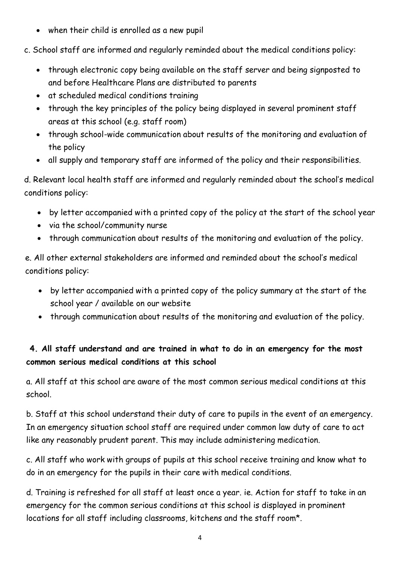• when their child is enrolled as a new pupil

c. School staff are informed and regularly reminded about the medical conditions policy:

- through electronic copy being available on the staff server and being signposted to and before Healthcare Plans are distributed to parents
- at scheduled medical conditions training
- through the key principles of the policy being displayed in several prominent staff areas at this school (e.g. staff room)
- through school-wide communication about results of the monitoring and evaluation of the policy
- all supply and temporary staff are informed of the policy and their responsibilities.

d. Relevant local health staff are informed and regularly reminded about the school's medical conditions policy:

- by letter accompanied with a printed copy of the policy at the start of the school year
- via the school/community nurse
- through communication about results of the monitoring and evaluation of the policy.

e. All other external stakeholders are informed and reminded about the school's medical conditions policy:

- by letter accompanied with a printed copy of the policy summary at the start of the school year / available on our website
- through communication about results of the monitoring and evaluation of the policy.

## **4. All staff understand and are trained in what to do in an emergency for the most common serious medical conditions at this school**

a. All staff at this school are aware of the most common serious medical conditions at this school.

b. Staff at this school understand their duty of care to pupils in the event of an emergency. In an emergency situation school staff are required under common law duty of care to act like any reasonably prudent parent. This may include administering medication.

c. All staff who work with groups of pupils at this school receive training and know what to do in an emergency for the pupils in their care with medical conditions.

d. Training is refreshed for all staff at least once a year. ie. Action for staff to take in an emergency for the common serious conditions at this school is displayed in prominent locations for all staff including classrooms, kitchens and the staff room\*.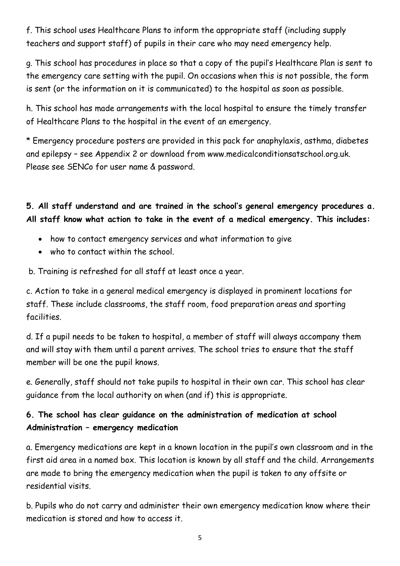f. This school uses Healthcare Plans to inform the appropriate staff (including supply teachers and support staff) of pupils in their care who may need emergency help.

g. This school has procedures in place so that a copy of the pupil's Healthcare Plan is sent to the emergency care setting with the pupil. On occasions when this is not possible, the form is sent (or the information on it is communicated) to the hospital as soon as possible.

h. This school has made arrangements with the local hospital to ensure the timely transfer of Healthcare Plans to the hospital in the event of an emergency.

\* Emergency procedure posters are provided in this pack for anaphylaxis, asthma, diabetes and epilepsy – see Appendix 2 or download from www.medicalconditionsatschool.org.uk. Please see SENCo for user name & password.

**5. All staff understand and are trained in the school's general emergency procedures a. All staff know what action to take in the event of a medical emergency. This includes:**

- how to contact emergency services and what information to give
- who to contact within the school.

b. Training is refreshed for all staff at least once a year.

c. Action to take in a general medical emergency is displayed in prominent locations for staff. These include classrooms, the staff room, food preparation areas and sporting facilities.

d. If a pupil needs to be taken to hospital, a member of staff will always accompany them and will stay with them until a parent arrives. The school tries to ensure that the staff member will be one the pupil knows.

e. Generally, staff should not take pupils to hospital in their own car. This school has clear guidance from the local authority on when (and if) this is appropriate.

## **6. The school has clear guidance on the administration of medication at school Administration – emergency medication**

a. Emergency medications are kept in a known location in the pupil's own classroom and in the first aid area in a named box. This location is known by all staff and the child. Arrangements are made to bring the emergency medication when the pupil is taken to any offsite or residential visits.

b. Pupils who do not carry and administer their own emergency medication know where their medication is stored and how to access it.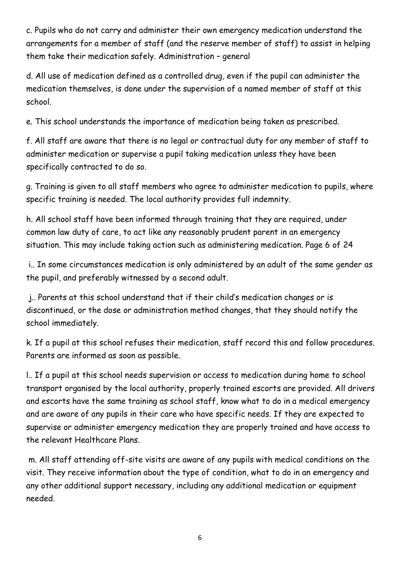c. Pupils who do not carry and administer their own emergency medication understand the arrangements for a member of staff (and the reserve member of staff) to assist in helping them take their medication safely. Administration – general

d. All use of medication defined as a controlled drug, even if the pupil can administer the medication themselves, is done under the supervision of a named member of staff at this school.

e. This school understands the importance of medication being taken as prescribed.

f. All staff are aware that there is no legal or contractual duty for any member of staff to administer medication or supervise a pupil taking medication unless they have been specifically contracted to do so.

g. Training is given to all staff members who agree to administer medication to pupils, where specific training is needed. The local authority provides full indemnity.

h. All school staff have been informed through training that they are required, under common law duty of care, to act like any reasonably prudent parent in an emergency situation. This may include taking action such as administering medication. Page 6 of 24

i.. In some circumstances medication is only administered by an adult of the same gender as the pupil, and preferably witnessed by a second adult.

j.. Parents at this school understand that if their child's medication changes or is discontinued, or the dose or administration method changes, that they should notify the school immediately.

k. If a pupil at this school refuses their medication, staff record this and follow procedures. Parents are informed as soon as possible.

l.. If a pupil at this school needs supervision or access to medication during home to school transport organised by the local authority, properly trained escorts are provided. All drivers and escorts have the same training as school staff, know what to do in a medical emergency and are aware of any pupils in their care who have specific needs. If they are expected to supervise or administer emergency medication they are properly trained and have access to the relevant Healthcare Plans.

m. All staff attending off-site visits are aware of any pupils with medical conditions on the visit. They receive information about the type of condition, what to do in an emergency and any other additional support necessary, including any additional medication or equipment needed.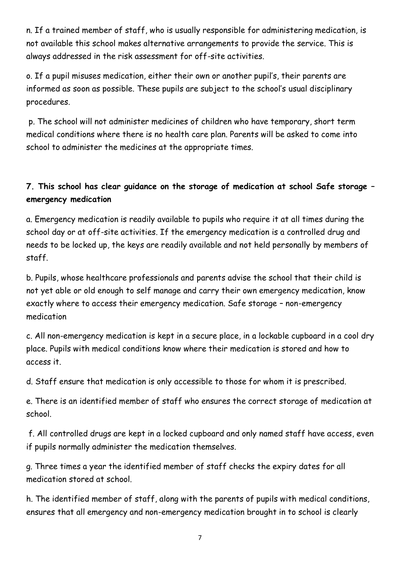n. If a trained member of staff, who is usually responsible for administering medication, is not available this school makes alternative arrangements to provide the service. This is always addressed in the risk assessment for off-site activities.

o. If a pupil misuses medication, either their own or another pupil's, their parents are informed as soon as possible. These pupils are subject to the school's usual disciplinary procedures.

p. The school will not administer medicines of children who have temporary, short term medical conditions where there is no health care plan. Parents will be asked to come into school to administer the medicines at the appropriate times.

## **7. This school has clear guidance on the storage of medication at school Safe storage – emergency medication**

a. Emergency medication is readily available to pupils who require it at all times during the school day or at off-site activities. If the emergency medication is a controlled drug and needs to be locked up, the keys are readily available and not held personally by members of staff.

b. Pupils, whose healthcare professionals and parents advise the school that their child is not yet able or old enough to self manage and carry their own emergency medication, know exactly where to access their emergency medication. Safe storage – non-emergency medication

c. All non-emergency medication is kept in a secure place, in a lockable cupboard in a cool dry place. Pupils with medical conditions know where their medication is stored and how to access it.

d. Staff ensure that medication is only accessible to those for whom it is prescribed.

e. There is an identified member of staff who ensures the correct storage of medication at school.

f. All controlled drugs are kept in a locked cupboard and only named staff have access, even if pupils normally administer the medication themselves.

g. Three times a year the identified member of staff checks the expiry dates for all medication stored at school.

h. The identified member of staff, along with the parents of pupils with medical conditions, ensures that all emergency and non-emergency medication brought in to school is clearly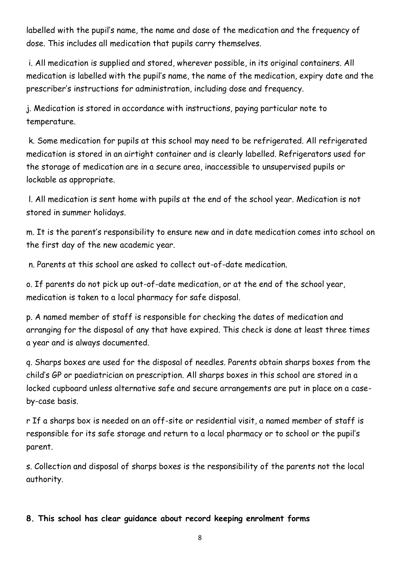labelled with the pupil's name, the name and dose of the medication and the frequency of dose. This includes all medication that pupils carry themselves.

i. All medication is supplied and stored, wherever possible, in its original containers. All medication is labelled with the pupil's name, the name of the medication, expiry date and the prescriber's instructions for administration, including dose and frequency.

j. Medication is stored in accordance with instructions, paying particular note to temperature.

k. Some medication for pupils at this school may need to be refrigerated. All refrigerated medication is stored in an airtight container and is clearly labelled. Refrigerators used for the storage of medication are in a secure area, inaccessible to unsupervised pupils or lockable as appropriate.

l. All medication is sent home with pupils at the end of the school year. Medication is not stored in summer holidays.

m. It is the parent's responsibility to ensure new and in date medication comes into school on the first day of the new academic year.

n. Parents at this school are asked to collect out-of-date medication.

o. If parents do not pick up out-of-date medication, or at the end of the school year, medication is taken to a local pharmacy for safe disposal.

p. A named member of staff is responsible for checking the dates of medication and arranging for the disposal of any that have expired. This check is done at least three times a year and is always documented.

q. Sharps boxes are used for the disposal of needles. Parents obtain sharps boxes from the child's GP or paediatrician on prescription. All sharps boxes in this school are stored in a locked cupboard unless alternative safe and secure arrangements are put in place on a caseby-case basis.

r If a sharps box is needed on an off-site or residential visit, a named member of staff is responsible for its safe storage and return to a local pharmacy or to school or the pupil's parent.

s. Collection and disposal of sharps boxes is the responsibility of the parents not the local authority.

## **8. This school has clear guidance about record keeping enrolment forms**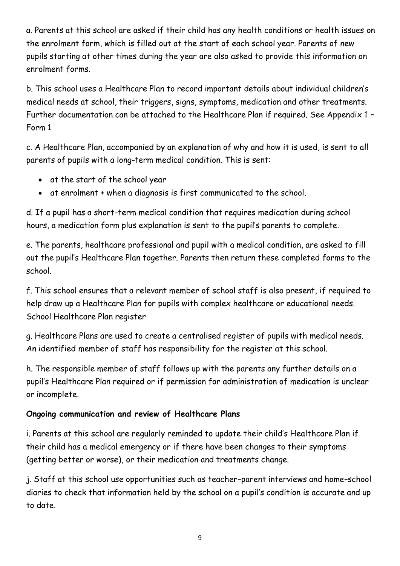a. Parents at this school are asked if their child has any health conditions or health issues on the enrolment form, which is filled out at the start of each school year. Parents of new pupils starting at other times during the year are also asked to provide this information on enrolment forms.

b. This school uses a Healthcare Plan to record important details about individual children's medical needs at school, their triggers, signs, symptoms, medication and other treatments. Further documentation can be attached to the Healthcare Plan if required. See Appendix 1 – Form 1

c. A Healthcare Plan, accompanied by an explanation of why and how it is used, is sent to all parents of pupils with a long-term medical condition. This is sent:

- at the start of the school year
- at enrolment + when a diagnosis is first communicated to the school.

d. If a pupil has a short-term medical condition that requires medication during school hours, a medication form plus explanation is sent to the pupil's parents to complete.

e. The parents, healthcare professional and pupil with a medical condition, are asked to fill out the pupil's Healthcare Plan together. Parents then return these completed forms to the school.

f. This school ensures that a relevant member of school staff is also present, if required to help draw up a Healthcare Plan for pupils with complex healthcare or educational needs. School Healthcare Plan register

g. Healthcare Plans are used to create a centralised register of pupils with medical needs. An identified member of staff has responsibility for the register at this school.

h. The responsible member of staff follows up with the parents any further details on a pupil's Healthcare Plan required or if permission for administration of medication is unclear or incomplete.

## **Ongoing communication and review of Healthcare Plans**

i. Parents at this school are regularly reminded to update their child's Healthcare Plan if their child has a medical emergency or if there have been changes to their symptoms (getting better or worse), or their medication and treatments change.

j. Staff at this school use opportunities such as teacher–parent interviews and home–school diaries to check that information held by the school on a pupil's condition is accurate and up to date.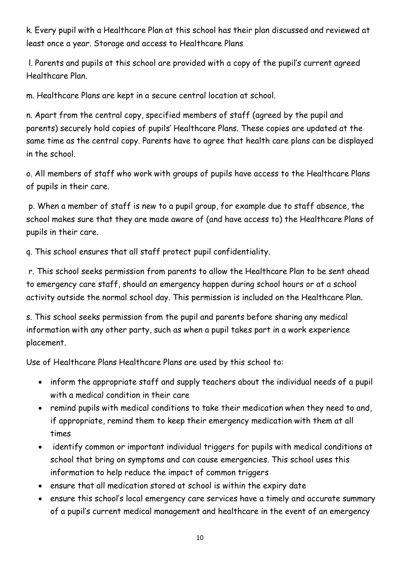k. Every pupil with a Healthcare Plan at this school has their plan discussed and reviewed at least once a year. Storage and access to Healthcare Plans

l. Parents and pupils at this school are provided with a copy of the pupil's current agreed Healthcare Plan.

m. Healthcare Plans are kept in a secure central location at school.

n. Apart from the central copy, specified members of staff (agreed by the pupil and parents) securely hold copies of pupils' Healthcare Plans. These copies are updated at the same time as the central copy. Parents have to agree that health care plans can be displayed in the school.

o. All members of staff who work with groups of pupils have access to the Healthcare Plans of pupils in their care.

p. When a member of staff is new to a pupil group, for example due to staff absence, the school makes sure that they are made aware of (and have access to) the Healthcare Plans of pupils in their care.

q. This school ensures that all staff protect pupil confidentiality.

r. This school seeks permission from parents to allow the Healthcare Plan to be sent ahead to emergency care staff, should an emergency happen during school hours or at a school activity outside the normal school day. This permission is included on the Healthcare Plan.

s. This school seeks permission from the pupil and parents before sharing any medical information with any other party, such as when a pupil takes part in a work experience placement.

Use of Healthcare Plans Healthcare Plans are used by this school to:

- inform the appropriate staff and supply teachers about the individual needs of a pupil with a medical condition in their care
- remind pupils with medical conditions to take their medication when they need to and, if appropriate, remind them to keep their emergency medication with them at all times
- identify common or important individual triggers for pupils with medical conditions at school that bring on symptoms and can cause emergencies. This school uses this information to help reduce the impact of common triggers
- ensure that all medication stored at school is within the expiry date
- ensure this school's local emergency care services have a timely and accurate summary of a pupil's current medical management and healthcare in the event of an emergency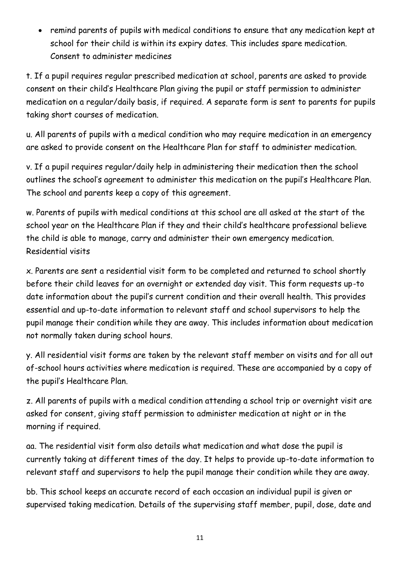• remind parents of pupils with medical conditions to ensure that any medication kept at school for their child is within its expiry dates. This includes spare medication. Consent to administer medicines

t. If a pupil requires regular prescribed medication at school, parents are asked to provide consent on their child's Healthcare Plan giving the pupil or staff permission to administer medication on a regular/daily basis, if required. A separate form is sent to parents for pupils taking short courses of medication.

u. All parents of pupils with a medical condition who may require medication in an emergency are asked to provide consent on the Healthcare Plan for staff to administer medication.

v. If a pupil requires regular/daily help in administering their medication then the school outlines the school's agreement to administer this medication on the pupil's Healthcare Plan. The school and parents keep a copy of this agreement.

w. Parents of pupils with medical conditions at this school are all asked at the start of the school year on the Healthcare Plan if they and their child's healthcare professional believe the child is able to manage, carry and administer their own emergency medication. Residential visits

x. Parents are sent a residential visit form to be completed and returned to school shortly before their child leaves for an overnight or extended day visit. This form requests up-to date information about the pupil's current condition and their overall health. This provides essential and up-to-date information to relevant staff and school supervisors to help the pupil manage their condition while they are away. This includes information about medication not normally taken during school hours.

y. All residential visit forms are taken by the relevant staff member on visits and for all out of-school hours activities where medication is required. These are accompanied by a copy of the pupil's Healthcare Plan.

z. All parents of pupils with a medical condition attending a school trip or overnight visit are asked for consent, giving staff permission to administer medication at night or in the morning if required.

aa. The residential visit form also details what medication and what dose the pupil is currently taking at different times of the day. It helps to provide up-to-date information to relevant staff and supervisors to help the pupil manage their condition while they are away.

bb. This school keeps an accurate record of each occasion an individual pupil is given or supervised taking medication. Details of the supervising staff member, pupil, dose, date and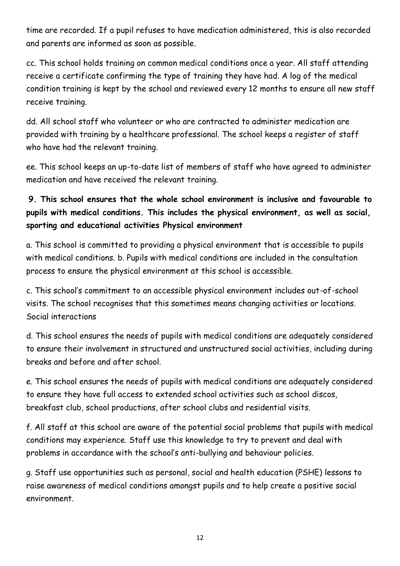time are recorded. If a pupil refuses to have medication administered, this is also recorded and parents are informed as soon as possible.

cc. This school holds training on common medical conditions once a year. All staff attending receive a certificate confirming the type of training they have had. A log of the medical condition training is kept by the school and reviewed every 12 months to ensure all new staff receive training.

dd. All school staff who volunteer or who are contracted to administer medication are provided with training by a healthcare professional. The school keeps a register of staff who have had the relevant training.

ee. This school keeps an up-to-date list of members of staff who have agreed to administer medication and have received the relevant training.

# **9. This school ensures that the whole school environment is inclusive and favourable to pupils with medical conditions. This includes the physical environment, as well as social, sporting and educational activities Physical environment**

a. This school is committed to providing a physical environment that is accessible to pupils with medical conditions. b. Pupils with medical conditions are included in the consultation process to ensure the physical environment at this school is accessible.

c. This school's commitment to an accessible physical environment includes out-of-school visits. The school recognises that this sometimes means changing activities or locations. Social interactions

d. This school ensures the needs of pupils with medical conditions are adequately considered to ensure their involvement in structured and unstructured social activities, including during breaks and before and after school.

e. This school ensures the needs of pupils with medical conditions are adequately considered to ensure they have full access to extended school activities such as school discos, breakfast club, school productions, after school clubs and residential visits.

f. All staff at this school are aware of the potential social problems that pupils with medical conditions may experience. Staff use this knowledge to try to prevent and deal with problems in accordance with the school's anti-bullying and behaviour policies.

g. Staff use opportunities such as personal, social and health education (PSHE) lessons to raise awareness of medical conditions amongst pupils and to help create a positive social environment.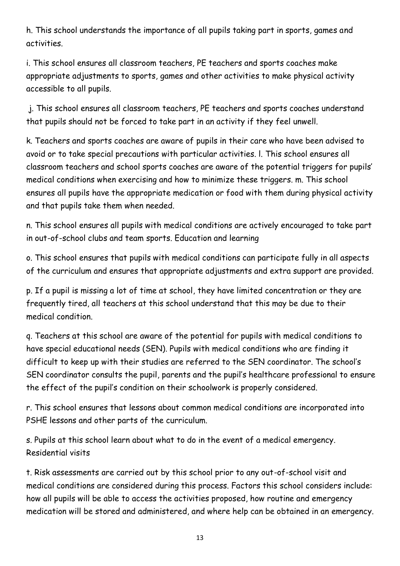h. This school understands the importance of all pupils taking part in sports, games and activities.

i. This school ensures all classroom teachers, PE teachers and sports coaches make appropriate adjustments to sports, games and other activities to make physical activity accessible to all pupils.

j. This school ensures all classroom teachers, PE teachers and sports coaches understand that pupils should not be forced to take part in an activity if they feel unwell.

k. Teachers and sports coaches are aware of pupils in their care who have been advised to avoid or to take special precautions with particular activities. l. This school ensures all classroom teachers and school sports coaches are aware of the potential triggers for pupils' medical conditions when exercising and how to minimize these triggers. m. This school ensures all pupils have the appropriate medication or food with them during physical activity and that pupils take them when needed.

n. This school ensures all pupils with medical conditions are actively encouraged to take part in out-of-school clubs and team sports. Education and learning

o. This school ensures that pupils with medical conditions can participate fully in all aspects of the curriculum and ensures that appropriate adjustments and extra support are provided.

p. If a pupil is missing a lot of time at school, they have limited concentration or they are frequently tired, all teachers at this school understand that this may be due to their medical condition.

q. Teachers at this school are aware of the potential for pupils with medical conditions to have special educational needs (SEN). Pupils with medical conditions who are finding it difficult to keep up with their studies are referred to the SEN coordinator. The school's SEN coordinator consults the pupil, parents and the pupil's healthcare professional to ensure the effect of the pupil's condition on their schoolwork is properly considered.

r. This school ensures that lessons about common medical conditions are incorporated into PSHE lessons and other parts of the curriculum.

s. Pupils at this school learn about what to do in the event of a medical emergency. Residential visits

t. Risk assessments are carried out by this school prior to any out-of-school visit and medical conditions are considered during this process. Factors this school considers include: how all pupils will be able to access the activities proposed, how routine and emergency medication will be stored and administered, and where help can be obtained in an emergency.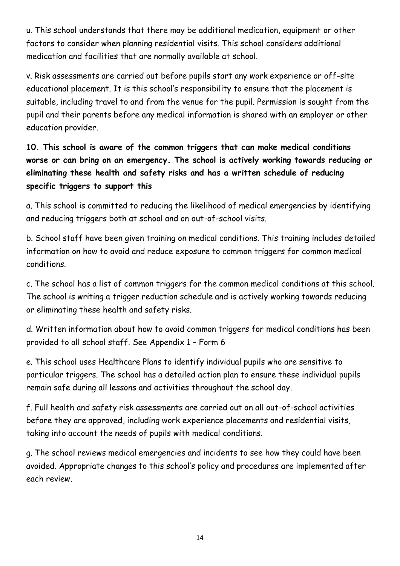u. This school understands that there may be additional medication, equipment or other factors to consider when planning residential visits. This school considers additional medication and facilities that are normally available at school.

v. Risk assessments are carried out before pupils start any work experience or off-site educational placement. It is this school's responsibility to ensure that the placement is suitable, including travel to and from the venue for the pupil. Permission is sought from the pupil and their parents before any medical information is shared with an employer or other education provider.

**10. This school is aware of the common triggers that can make medical conditions worse or can bring on an emergency. The school is actively working towards reducing or eliminating these health and safety risks and has a written schedule of reducing specific triggers to support this**

a. This school is committed to reducing the likelihood of medical emergencies by identifying and reducing triggers both at school and on out-of-school visits.

b. School staff have been given training on medical conditions. This training includes detailed information on how to avoid and reduce exposure to common triggers for common medical conditions.

c. The school has a list of common triggers for the common medical conditions at this school. The school is writing a trigger reduction schedule and is actively working towards reducing or eliminating these health and safety risks.

d. Written information about how to avoid common triggers for medical conditions has been provided to all school staff. See Appendix 1 – Form 6

e. This school uses Healthcare Plans to identify individual pupils who are sensitive to particular triggers. The school has a detailed action plan to ensure these individual pupils remain safe during all lessons and activities throughout the school day.

f. Full health and safety risk assessments are carried out on all out-of-school activities before they are approved, including work experience placements and residential visits, taking into account the needs of pupils with medical conditions.

g. The school reviews medical emergencies and incidents to see how they could have been avoided. Appropriate changes to this school's policy and procedures are implemented after each review.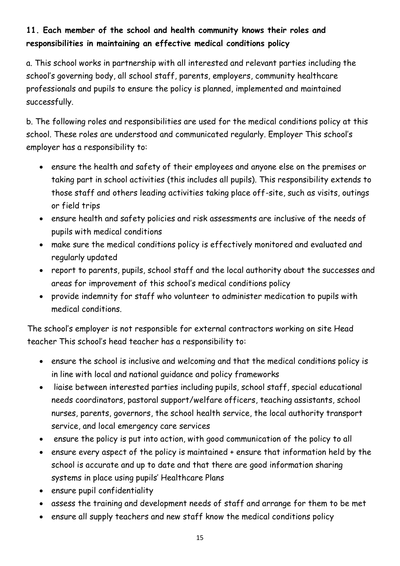## **11. Each member of the school and health community knows their roles and responsibilities in maintaining an effective medical conditions policy**

a. This school works in partnership with all interested and relevant parties including the school's governing body, all school staff, parents, employers, community healthcare professionals and pupils to ensure the policy is planned, implemented and maintained successfully.

b. The following roles and responsibilities are used for the medical conditions policy at this school. These roles are understood and communicated regularly. Employer This school's employer has a responsibility to:

- ensure the health and safety of their employees and anyone else on the premises or taking part in school activities (this includes all pupils). This responsibility extends to those staff and others leading activities taking place off-site, such as visits, outings or field trips
- ensure health and safety policies and risk assessments are inclusive of the needs of pupils with medical conditions
- make sure the medical conditions policy is effectively monitored and evaluated and regularly updated
- report to parents, pupils, school staff and the local authority about the successes and areas for improvement of this school's medical conditions policy
- provide indemnity for staff who volunteer to administer medication to pupils with medical conditions.

The school's employer is not responsible for external contractors working on site Head teacher This school's head teacher has a responsibility to:

- ensure the school is inclusive and welcoming and that the medical conditions policy is in line with local and national guidance and policy frameworks
- liaise between interested parties including pupils, school staff, special educational needs coordinators, pastoral support/welfare officers, teaching assistants, school nurses, parents, governors, the school health service, the local authority transport service, and local emergency care services
- ensure the policy is put into action, with good communication of the policy to all
- ensure every aspect of the policy is maintained + ensure that information held by the school is accurate and up to date and that there are good information sharing systems in place using pupils' Healthcare Plans
- ensure pupil confidentiality
- assess the training and development needs of staff and arrange for them to be met
- ensure all supply teachers and new staff know the medical conditions policy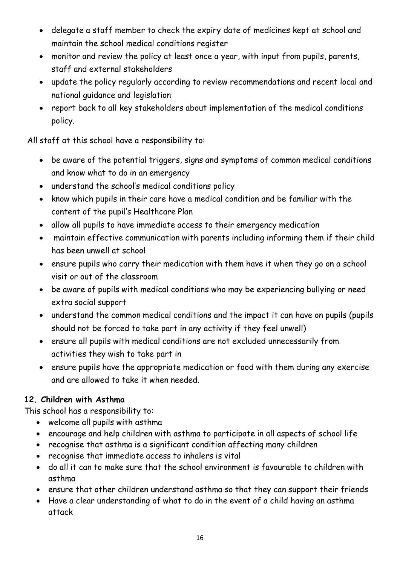- delegate a staff member to check the expiry date of medicines kept at school and maintain the school medical conditions register
- monitor and review the policy at least once a year, with input from pupils, parents, staff and external stakeholders
- update the policy regularly according to review recommendations and recent local and national guidance and legislation
- report back to all key stakeholders about implementation of the medical conditions policy.

All staff at this school have a responsibility to:

- be aware of the potential triggers, signs and symptoms of common medical conditions and know what to do in an emergency
- understand the school's medical conditions policy
- know which pupils in their care have a medical condition and be familiar with the content of the pupil's Healthcare Plan
- allow all pupils to have immediate access to their emergency medication
- maintain effective communication with parents including informing them if their child has been unwell at school
- ensure pupils who carry their medication with them have it when they go on a school visit or out of the classroom
- be aware of pupils with medical conditions who may be experiencing bullying or need extra social support
- understand the common medical conditions and the impact it can have on pupils (pupils should not be forced to take part in any activity if they feel unwell)
- ensure all pupils with medical conditions are not excluded unnecessarily from activities they wish to take part in
- ensure pupils have the appropriate medication or food with them during any exercise and are allowed to take it when needed.

## **12. Children with Asthma**

This school has a responsibility to:

- welcome all pupils with asthma
- encourage and help children with asthma to participate in all aspects of school life
- recognise that asthma is a significant condition affecting many children
- recognise that immediate access to inhalers is vital
- do all it can to make sure that the school environment is favourable to children with asthma
- ensure that other children understand asthma so that they can support their friends
- Have a clear understanding of what to do in the event of a child having an asthma attack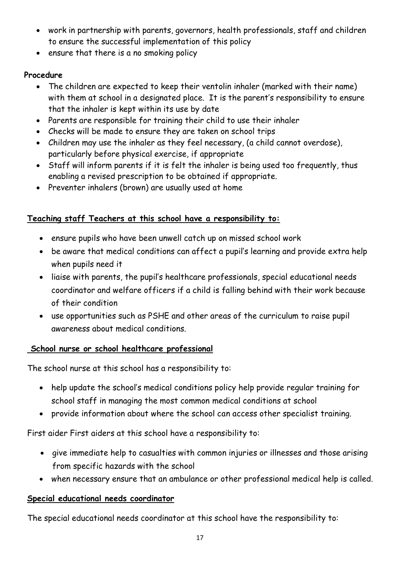- work in partnership with parents, governors, health professionals, staff and children to ensure the successful implementation of this policy
- ensure that there is a no smoking policy

## **Procedure**

- The children are expected to keep their ventolin inhaler (marked with their name) with them at school in a designated place. It is the parent's responsibility to ensure that the inhaler is kept within its use by date
- Parents are responsible for training their child to use their inhaler
- Checks will be made to ensure they are taken on school trips
- Children may use the inhaler as they feel necessary, (a child cannot overdose), particularly before physical exercise, if appropriate
- Staff will inform parents if it is felt the inhaler is being used too frequently, thus enabling a revised prescription to be obtained if appropriate.
- Preventer inhalers (brown) are usually used at home

## **Teaching staff Teachers at this school have a responsibility to:**

- ensure pupils who have been unwell catch up on missed school work
- be aware that medical conditions can affect a pupil's learning and provide extra help when pupils need it
- liaise with parents, the pupil's healthcare professionals, special educational needs coordinator and welfare officers if a child is falling behind with their work because of their condition
- use opportunities such as PSHE and other areas of the curriculum to raise pupil awareness about medical conditions.

## **School nurse or school healthcare professional**

The school nurse at this school has a responsibility to:

- help update the school's medical conditions policy help provide regular training for school staff in managing the most common medical conditions at school
- provide information about where the school can access other specialist training.

First aider First aiders at this school have a responsibility to:

- give immediate help to casualties with common injuries or illnesses and those arising from specific hazards with the school
- when necessary ensure that an ambulance or other professional medical help is called.

## **Special educational needs coordinator**

The special educational needs coordinator at this school have the responsibility to: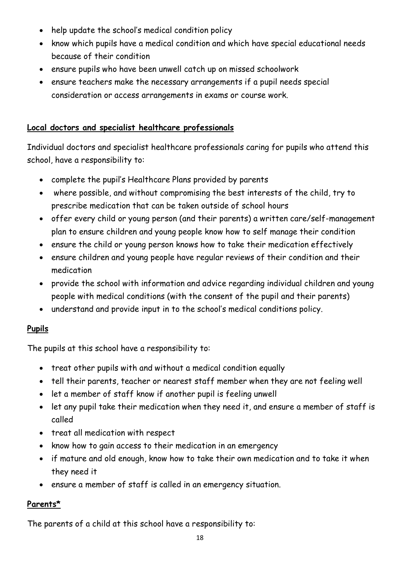- help update the school's medical condition policy
- know which pupils have a medical condition and which have special educational needs because of their condition
- ensure pupils who have been unwell catch up on missed schoolwork
- ensure teachers make the necessary arrangements if a pupil needs special consideration or access arrangements in exams or course work.

#### **Local doctors and specialist healthcare professionals**

Individual doctors and specialist healthcare professionals caring for pupils who attend this school, have a responsibility to:

- complete the pupil's Healthcare Plans provided by parents
- where possible, and without compromising the best interests of the child, try to prescribe medication that can be taken outside of school hours
- offer every child or young person (and their parents) a written care/self-management plan to ensure children and young people know how to self manage their condition
- ensure the child or young person knows how to take their medication effectively
- ensure children and young people have regular reviews of their condition and their medication
- provide the school with information and advice regarding individual children and young people with medical conditions (with the consent of the pupil and their parents)
- understand and provide input in to the school's medical conditions policy.

## **Pupils**

The pupils at this school have a responsibility to:

- treat other pupils with and without a medical condition equally
- tell their parents, teacher or nearest staff member when they are not feeling well
- let a member of staff know if another pupil is feeling unwell
- let any pupil take their medication when they need it, and ensure a member of staff is called
- treat all medication with respect
- know how to gain access to their medication in an emergency
- if mature and old enough, know how to take their own medication and to take it when they need it
- ensure a member of staff is called in an emergency situation.

## **Parents\***

The parents of a child at this school have a responsibility to: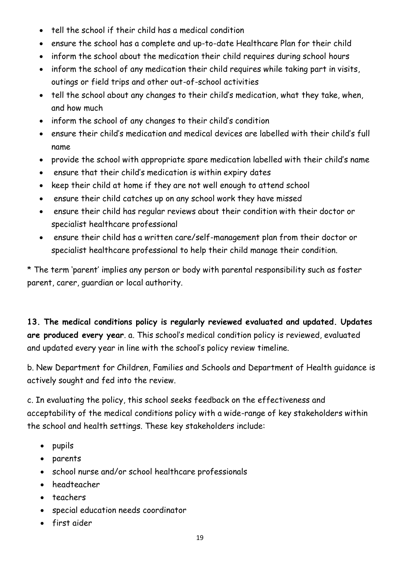- tell the school if their child has a medical condition
- ensure the school has a complete and up-to-date Healthcare Plan for their child
- inform the school about the medication their child requires during school hours
- inform the school of any medication their child requires while taking part in visits, outings or field trips and other out-of-school activities
- tell the school about any changes to their child's medication, what they take, when, and how much
- inform the school of any changes to their child's condition
- ensure their child's medication and medical devices are labelled with their child's full name
- provide the school with appropriate spare medication labelled with their child's name
- ensure that their child's medication is within expiry dates
- keep their child at home if they are not well enough to attend school
- ensure their child catches up on any school work they have missed
- ensure their child has regular reviews about their condition with their doctor or specialist healthcare professional
- ensure their child has a written care/self-management plan from their doctor or specialist healthcare professional to help their child manage their condition.

\* The term 'parent' implies any person or body with parental responsibility such as foster parent, carer, guardian or local authority.

**13. The medical conditions policy is regularly reviewed evaluated and updated. Updates are produced every year**. a. This school's medical condition policy is reviewed, evaluated and updated every year in line with the school's policy review timeline.

b. New Department for Children, Families and Schools and Department of Health guidance is actively sought and fed into the review.

c. In evaluating the policy, this school seeks feedback on the effectiveness and acceptability of the medical conditions policy with a wide-range of key stakeholders within the school and health settings. These key stakeholders include:

- pupils
- parents
- school nurse and/or school healthcare professionals
- headteacher
- teachers
- special education needs coordinator
- first aider